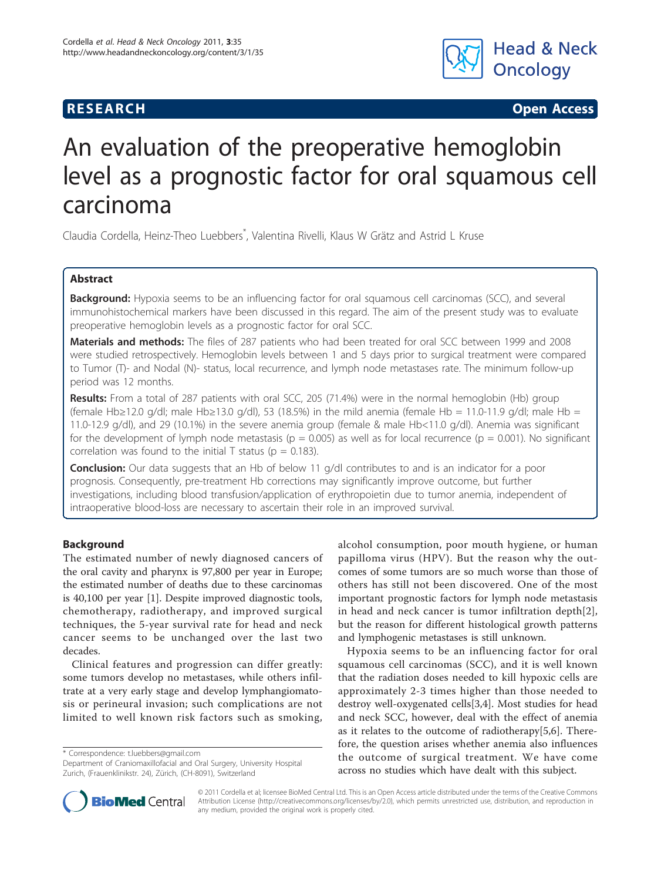# **RESEARCH CHILD CONTROL** CONTROL CONTROL CONTROL CONTROL CONTROL CONTROL CONTROL CONTROL CONTROL CONTROL CONTROL CONTROL CONTROL CONTROL CONTROL CONTROL CONTROL CONTROL CONTROL CONTROL CONTROL CONTROL CONTROL CONTROL CONTR



# An evaluation of the preoperative hemoglobin level as a prognostic factor for oral squamous cell carcinoma

Claudia Cordella, Heinz-Theo Luebbers\* , Valentina Rivelli, Klaus W Grätz and Astrid L Kruse

# Abstract

Background: Hypoxia seems to be an influencing factor for oral squamous cell carcinomas (SCC), and several immunohistochemical markers have been discussed in this regard. The aim of the present study was to evaluate preoperative hemoglobin levels as a prognostic factor for oral SCC.

Materials and methods: The files of 287 patients who had been treated for oral SCC between 1999 and 2008 were studied retrospectively. Hemoglobin levels between 1 and 5 days prior to surgical treatment were compared to Tumor (T)- and Nodal (N)- status, local recurrence, and lymph node metastases rate. The minimum follow-up period was 12 months.

Results: From a total of 287 patients with oral SCC, 205 (71.4%) were in the normal hemoglobin (Hb) group (female Hb≥12.0 g/dl; male Hb≥13.0 g/dl), 53 (18.5%) in the mild anemia (female Hb = 11.0-11.9 g/dl; male Hb = 11.0-12.9 g/dl), and 29 (10.1%) in the severe anemia group (female & male Hb<11.0 g/dl). Anemia was significant for the development of lymph node metastasis ( $p = 0.005$ ) as well as for local recurrence ( $p = 0.001$ ). No significant correlation was found to the initial T status ( $p = 0.183$ ).

**Conclusion:** Our data suggests that an Hb of below 11 g/dl contributes to and is an indicator for a poor prognosis. Consequently, pre-treatment Hb corrections may significantly improve outcome, but further investigations, including blood transfusion/application of erythropoietin due to tumor anemia, independent of intraoperative blood-loss are necessary to ascertain their role in an improved survival.

## Background

The estimated number of newly diagnosed cancers of the oral cavity and pharynx is 97,800 per year in Europe; the estimated number of deaths due to these carcinomas is 40,100 per year [[1](#page-4-0)]. Despite improved diagnostic tools, chemotherapy, radiotherapy, and improved surgical techniques, the 5-year survival rate for head and neck cancer seems to be unchanged over the last two decades.

Clinical features and progression can differ greatly: some tumors develop no metastases, while others infiltrate at a very early stage and develop lymphangiomatosis or perineural invasion; such complications are not limited to well known risk factors such as smoking,

\* Correspondence: [t.luebbers@gmail.com](mailto:t.luebbers@gmail.com)

alcohol consumption, poor mouth hygiene, or human papilloma virus (HPV). But the reason why the outcomes of some tumors are so much worse than those of others has still not been discovered. One of the most important prognostic factors for lymph node metastasis in head and neck cancer is tumor infiltration depth[[2](#page-4-0)], but the reason for different histological growth patterns and lymphogenic metastases is still unknown.

Hypoxia seems to be an influencing factor for oral squamous cell carcinomas (SCC), and it is well known that the radiation doses needed to kill hypoxic cells are approximately 2-3 times higher than those needed to destroy well-oxygenated cells[[3,4\]](#page-4-0). Most studies for head and neck SCC, however, deal with the effect of anemia as it relates to the outcome of radiotherapy[[5,6\]](#page-4-0). Therefore, the question arises whether anemia also influences the outcome of surgical treatment. We have come across no studies which have dealt with this subject.



© 2011 Cordella et al; licensee BioMed Central Ltd. This is an Open Access article distributed under the terms of the Creative Commons Attribution License [\(http://creativecommons.org/licenses/by/2.0](http://creativecommons.org/licenses/by/2.0)), which permits unrestricted use, distribution, and reproduction in any medium, provided the original work is properly cited.

Department of Craniomaxillofacial and Oral Surgery, University Hospital Zurich, (Frauenklinikstr. 24), Zürich, (CH-8091), Switzerland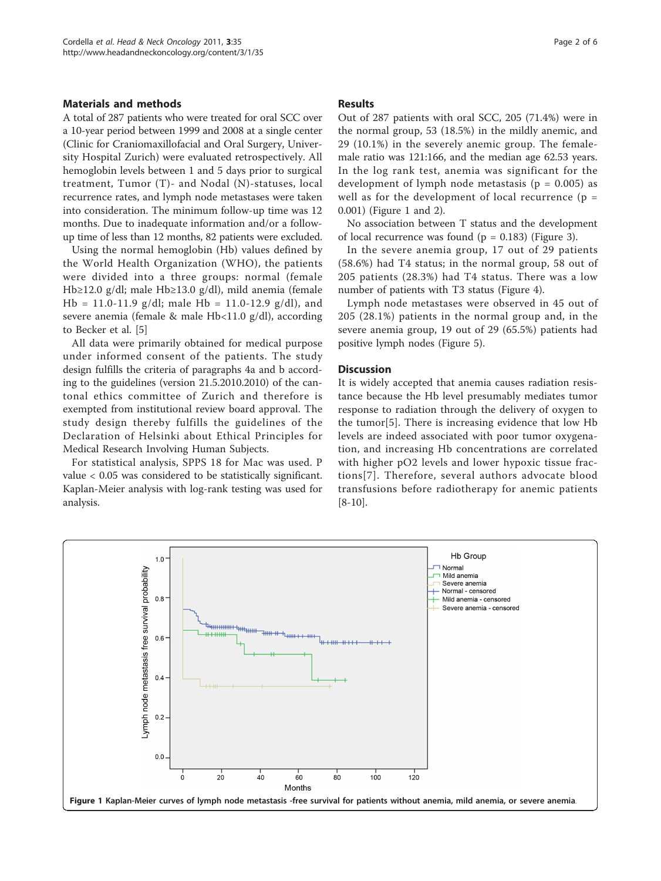#### Materials and methods

A total of 287 patients who were treated for oral SCC over a 10-year period between 1999 and 2008 at a single center (Clinic for Craniomaxillofacial and Oral Surgery, University Hospital Zurich) were evaluated retrospectively. All hemoglobin levels between 1 and 5 days prior to surgical treatment, Tumor (T)- and Nodal (N)-statuses, local recurrence rates, and lymph node metastases were taken into consideration. The minimum follow-up time was 12 months. Due to inadequate information and/or a followup time of less than 12 months, 82 patients were excluded.

Using the normal hemoglobin (Hb) values defined by the World Health Organization (WHO), the patients were divided into a three groups: normal (female Hb≥12.0 g/dl; male Hb≥13.0 g/dl), mild anemia (female  $Hb = 11.0-11.9$  g/dl; male  $Hb = 11.0-12.9$  g/dl), and severe anemia (female & male Hb<11.0 g/dl), according to Becker et al. [\[5\]](#page-4-0)

All data were primarily obtained for medical purpose under informed consent of the patients. The study design fulfills the criteria of paragraphs 4a and b according to the guidelines (version 21.5.2010.2010) of the cantonal ethics committee of Zurich and therefore is exempted from institutional review board approval. The study design thereby fulfills the guidelines of the Declaration of Helsinki about Ethical Principles for Medical Research Involving Human Subjects.

For statistical analysis, SPPS 18 for Mac was used. P value < 0.05 was considered to be statistically significant. Kaplan-Meier analysis with log-rank testing was used for analysis.

#### Results

Out of 287 patients with oral SCC, 205 (71.4%) were in the normal group, 53 (18.5%) in the mildly anemic, and 29 (10.1%) in the severely anemic group. The femalemale ratio was 121:166, and the median age 62.53 years. In the log rank test, anemia was significant for the development of lymph node metastasis ( $p = 0.005$ ) as well as for the development of local recurrence  $(p =$ 0.001) (Figure 1 and [2](#page-2-0)).

No association between T status and the development of local recurrence was found ( $p = 0.183$ ) (Figure [3\)](#page-2-0).

In the severe anemia group, 17 out of 29 patients (58.6%) had T4 status; in the normal group, 58 out of 205 patients (28.3%) had T4 status. There was a low number of patients with T3 status (Figure [4\)](#page-3-0).

Lymph node metastases were observed in 45 out of 205 (28.1%) patients in the normal group and, in the severe anemia group, 19 out of 29 (65.5%) patients had positive lymph nodes (Figure [5\)](#page-3-0).

## **Discussion**

It is widely accepted that anemia causes radiation resistance because the Hb level presumably mediates tumor response to radiation through the delivery of oxygen to the tumor[[5\]](#page-4-0). There is increasing evidence that low Hb levels are indeed associated with poor tumor oxygenation, and increasing Hb concentrations are correlated with higher pO2 levels and lower hypoxic tissue fractions[[7](#page-4-0)]. Therefore, several authors advocate blood transfusions before radiotherapy for anemic patients [[8-10](#page-4-0)].

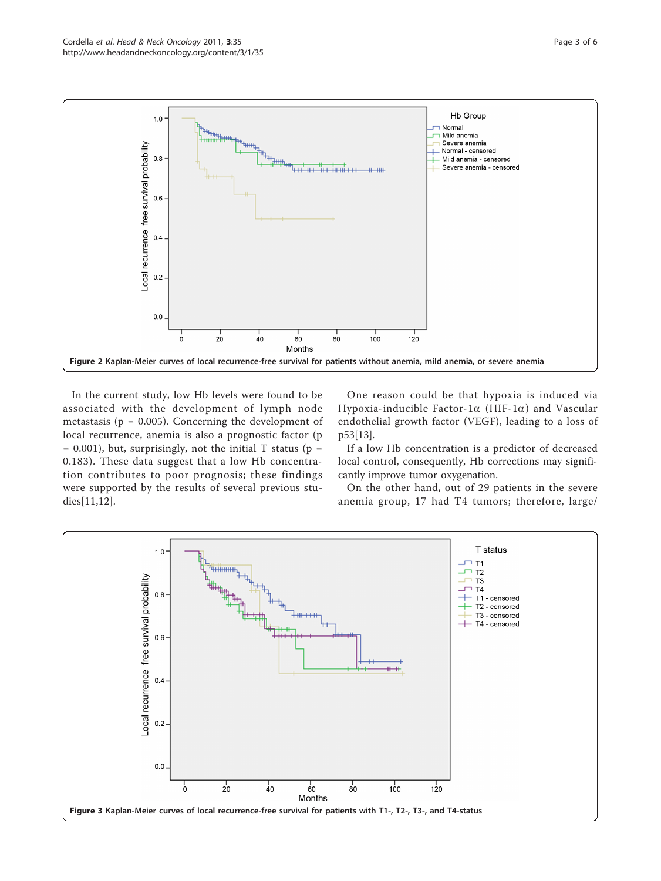<span id="page-2-0"></span>

In the current study, low Hb levels were found to be associated with the development of lymph node metastasis ( $p = 0.005$ ). Concerning the development of local recurrence, anemia is also a prognostic factor (p  $= 0.001$ ), but, surprisingly, not the initial T status (p = 0.183). These data suggest that a low Hb concentration contributes to poor prognosis; these findings were supported by the results of several previous studies[\[11,12\]](#page-4-0).

One reason could be that hypoxia is induced via Hypoxia-inducible Factor-1 $\alpha$  (HIF-1 $\alpha$ ) and Vascular endothelial growth factor (VEGF), leading to a loss of p53[[13\]](#page-4-0).

If a low Hb concentration is a predictor of decreased local control, consequently, Hb corrections may significantly improve tumor oxygenation.

On the other hand, out of 29 patients in the severe anemia group, 17 had T4 tumors; therefore, large/

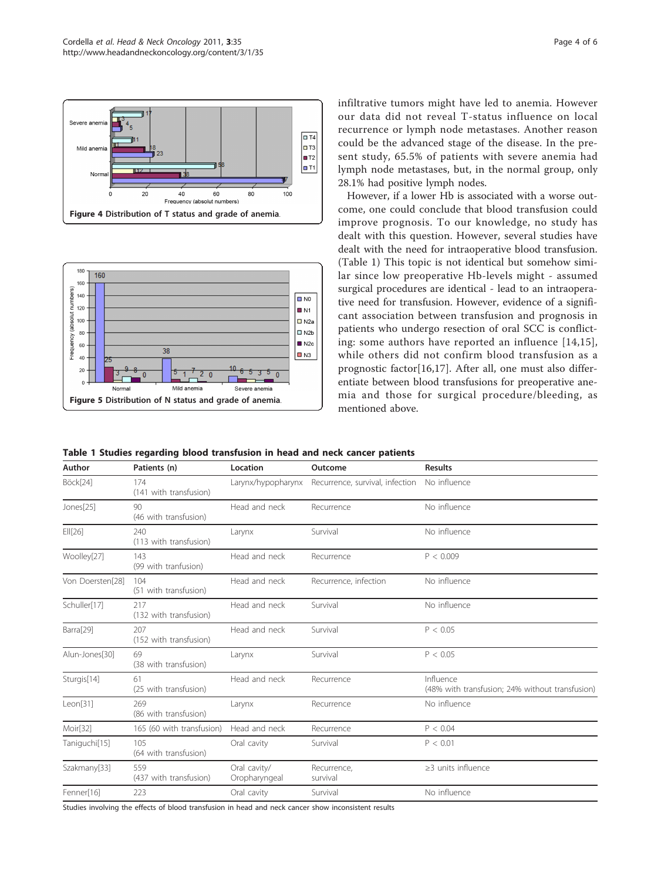<span id="page-3-0"></span>



infiltrative tumors might have led to anemia. However our data did not reveal T-status influence on local recurrence or lymph node metastases. Another reason could be the advanced stage of the disease. In the present study, 65.5% of patients with severe anemia had lymph node metastases, but, in the normal group, only 28.1% had positive lymph nodes.

However, if a lower Hb is associated with a worse outcome, one could conclude that blood transfusion could improve prognosis. To our knowledge, no study has dealt with this question. However, several studies have dealt with the need for intraoperative blood transfusion. (Table 1) This topic is not identical but somehow similar since low preoperative Hb-levels might - assumed surgical procedures are identical - lead to an intraoperative need for transfusion. However, evidence of a significant association between transfusion and prognosis in patients who undergo resection of oral SCC is conflicting: some authors have reported an influence [[14](#page-4-0),[15](#page-4-0)], while others did not confirm blood transfusion as a prognostic factor[\[16](#page-4-0),[17\]](#page-5-0). After all, one must also differentiate between blood transfusions for preoperative anemia and those for surgical procedure/bleeding, as mentioned above.

Table 1 Studies regarding blood transfusion in head and neck cancer patients

| Author           | Patients (n)                  | Location                      | Outcome                                                         | <b>Results</b>                                               |
|------------------|-------------------------------|-------------------------------|-----------------------------------------------------------------|--------------------------------------------------------------|
| Böck[24]         | 174<br>(141 with transfusion) |                               | Larynx/hypopharynx Recurrence, survival, infection No influence |                                                              |
| Jones[25]        | 90<br>(46 with transfusion)   | Head and neck                 | Recurrence                                                      | No influence                                                 |
| Ell[26]          | 240<br>(113 with transfusion) | Larynx                        | Survival                                                        | No influence                                                 |
| Woolley[27]      | 143<br>(99 with tranfusion)   | Head and neck                 | Recurrence                                                      | P < 0.009                                                    |
| Von Doersten[28] | 104<br>(51 with transfusion)  | Head and neck                 | Recurrence, infection                                           | No influence                                                 |
| Schuller[17]     | 217<br>(132 with transfusion) | Head and neck                 | Survival                                                        | No influence                                                 |
| Barra[29]        | 207<br>(152 with transfusion) | Head and neck                 | Survival                                                        | P < 0.05                                                     |
| Alun-Jones[30]   | 69<br>(38 with transfusion)   | Larynx                        | Survival                                                        | P < 0.05                                                     |
| Sturgis[14]      | 61<br>(25 with transfusion)   | Head and neck                 | Recurrence                                                      | Influence<br>(48% with transfusion; 24% without transfusion) |
| Leon[31]         | 269<br>(86 with transfusion)  | Larynx                        | Recurrence                                                      | No influence                                                 |
| Moir[32]         | 165 (60 with transfusion)     | Head and neck                 | Recurrence                                                      | P < 0.04                                                     |
| Taniguchi[15]    | 105<br>(64 with transfusion)  | Oral cavity                   | Survival                                                        | P < 0.01                                                     |
| Szakmany[33]     | 559<br>(437 with transfusion) | Oral cavity/<br>Oropharyngeal | Recurrence,<br>survival                                         | $\geq$ 3 units influence                                     |
| Fenner[16]       | 223                           | Oral cavity                   | Survival                                                        | No influence                                                 |
|                  |                               |                               |                                                                 |                                                              |

Studies involving the effects of blood transfusion in head and neck cancer show inconsistent results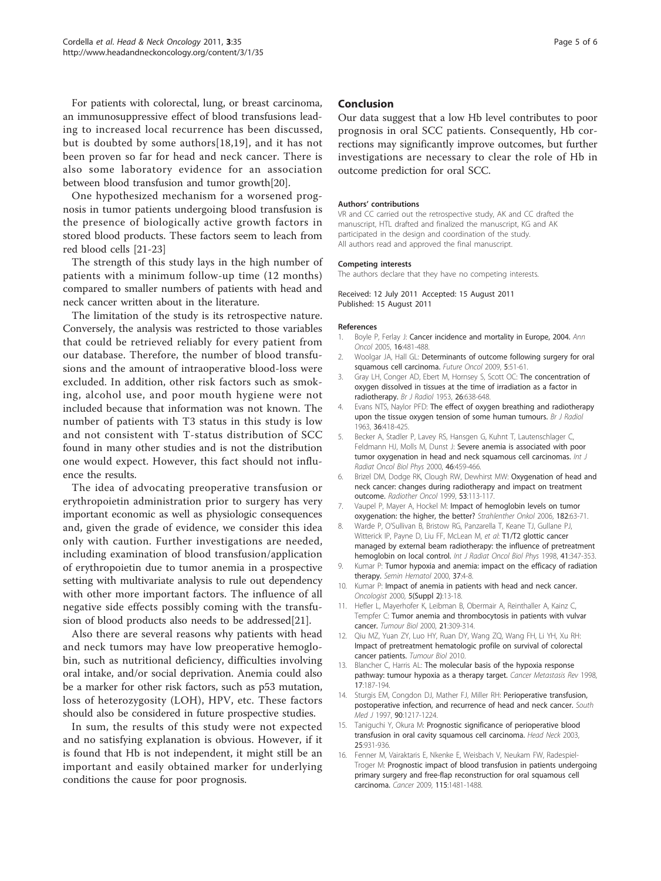<span id="page-4-0"></span>For patients with colorectal, lung, or breast carcinoma, an immunosuppressive effect of blood transfusions leading to increased local recurrence has been discussed, but is doubted by some authors[[18](#page-5-0),[19\]](#page-5-0), and it has not been proven so far for head and neck cancer. There is also some laboratory evidence for an association between blood transfusion and tumor growth[[20\]](#page-5-0).

One hypothesized mechanism for a worsened prognosis in tumor patients undergoing blood transfusion is the presence of biologically active growth factors in stored blood products. These factors seem to leach from red blood cells [\[21](#page-5-0)-[23](#page-5-0)]

The strength of this study lays in the high number of patients with a minimum follow-up time (12 months) compared to smaller numbers of patients with head and neck cancer written about in the literature.

The limitation of the study is its retrospective nature. Conversely, the analysis was restricted to those variables that could be retrieved reliably for every patient from our database. Therefore, the number of blood transfusions and the amount of intraoperative blood-loss were excluded. In addition, other risk factors such as smoking, alcohol use, and poor mouth hygiene were not included because that information was not known. The number of patients with T3 status in this study is low and not consistent with T-status distribution of SCC found in many other studies and is not the distribution one would expect. However, this fact should not influence the results.

The idea of advocating preoperative transfusion or erythropoietin administration prior to surgery has very important economic as well as physiologic consequences and, given the grade of evidence, we consider this idea only with caution. Further investigations are needed, including examination of blood transfusion/application of erythropoietin due to tumor anemia in a prospective setting with multivariate analysis to rule out dependency with other more important factors. The influence of all negative side effects possibly coming with the transfusion of blood products also needs to be addressed[[21](#page-5-0)].

Also there are several reasons why patients with head and neck tumors may have low preoperative hemoglobin, such as nutritional deficiency, difficulties involving oral intake, and/or social deprivation. Anemia could also be a marker for other risk factors, such as p53 mutation, loss of heterozygosity (LOH), HPV, etc. These factors should also be considered in future prospective studies.

In sum, the results of this study were not expected and no satisfying explanation is obvious. However, if it is found that Hb is not independent, it might still be an important and easily obtained marker for underlying conditions the cause for poor prognosis.

#### Conclusion

Our data suggest that a low Hb level contributes to poor prognosis in oral SCC patients. Consequently, Hb corrections may significantly improve outcomes, but further investigations are necessary to clear the role of Hb in outcome prediction for oral SCC.

#### Authors' contributions

VR and CC carried out the retrospective study, AK and CC drafted the manuscript, HTL drafted and finalized the manuscript, KG and AK participated in the design and coordination of the study. All authors read and approved the final manuscript.

#### Competing interests

The authors declare that they have no competing interests.

#### Received: 12 July 2011 Accepted: 15 August 2011 Published: 15 August 2011

#### References

- 1. Boyle P, Ferlay J: [Cancer incidence and mortality in Europe, 2004.](http://www.ncbi.nlm.nih.gov/pubmed/15718248?dopt=Abstract) Ann Oncol 2005, 16:481-488.
- 2. Woolgar JA, Hall GL: [Determinants of outcome following surgery for oral](http://www.ncbi.nlm.nih.gov/pubmed/19243298?dopt=Abstract) [squamous cell carcinoma.](http://www.ncbi.nlm.nih.gov/pubmed/19243298?dopt=Abstract) Future Oncol 2009, 5:51-61.
- 3. Gray LH, Conger AD, Ebert M, Hornsey S, Scott OC: [The concentration of](http://www.ncbi.nlm.nih.gov/pubmed/13106296?dopt=Abstract) [oxygen dissolved in tissues at the time of irradiation as a factor in](http://www.ncbi.nlm.nih.gov/pubmed/13106296?dopt=Abstract) [radiotherapy.](http://www.ncbi.nlm.nih.gov/pubmed/13106296?dopt=Abstract) Br J Radiol 1953, 26:638-648.
- 4. Evans NTS, Naylor PFD: The effect of oxygen breathing and radiotherapy upon the tissue oxygen tension of some human tumours. Br J Radiol 1963, 36:418-425.
- 5. Becker A, Stadler P, Lavey RS, Hansgen G, Kuhnt T, Lautenschlager C, Feldmann HJ, Molls M, Dunst J: [Severe anemia is associated with poor](http://www.ncbi.nlm.nih.gov/pubmed/10661354?dopt=Abstract) [tumor oxygenation in head and neck squamous cell carcinomas.](http://www.ncbi.nlm.nih.gov/pubmed/10661354?dopt=Abstract) Int J Radiat Oncol Biol Phys 2000, 46:459-466.
- 6. Brizel DM, Dodge RK, Clough RW, Dewhirst MW: [Oxygenation of head and](http://www.ncbi.nlm.nih.gov/pubmed/10665787?dopt=Abstract) [neck cancer: changes during radiotherapy and impact on treatment](http://www.ncbi.nlm.nih.gov/pubmed/10665787?dopt=Abstract) [outcome.](http://www.ncbi.nlm.nih.gov/pubmed/10665787?dopt=Abstract) Radiother Oncol 1999, 53:113-117.
- 7. Vaupel P, Mayer A, Hockel M: [Impact of hemoglobin levels on tumor](http://www.ncbi.nlm.nih.gov/pubmed/16447012?dopt=Abstract) [oxygenation: the higher, the better?](http://www.ncbi.nlm.nih.gov/pubmed/16447012?dopt=Abstract) Strahlenther Onkol 2006, 182:63-71.
- 8. Warde P, O'Sullivan B, Bristow RG, Panzarella T, Keane TJ, Gullane PJ, Witterick IP, Payne D, Liu FF, McLean M, et al: [T1/T2 glottic cancer](http://www.ncbi.nlm.nih.gov/pubmed/9607350?dopt=Abstract) [managed by external beam radiotherapy: the influence of pretreatment](http://www.ncbi.nlm.nih.gov/pubmed/9607350?dopt=Abstract) [hemoglobin on local control.](http://www.ncbi.nlm.nih.gov/pubmed/9607350?dopt=Abstract) Int J Radiat Oncol Biol Phys 1998, 41:347-353.
- 9. Kumar P: [Tumor hypoxia and anemia: impact on the efficacy of radiation](http://www.ncbi.nlm.nih.gov/pubmed/11068949?dopt=Abstract) [therapy.](http://www.ncbi.nlm.nih.gov/pubmed/11068949?dopt=Abstract) Semin Hematol 2000, 37:4-8.
- 10. Kumar P: [Impact of anemia in patients with head and neck cancer.](http://www.ncbi.nlm.nih.gov/pubmed/10896324?dopt=Abstract) Oncologist 2000, 5(Suppl 2):13-18.
- 11. Hefler L, Mayerhofer K, Leibman B, Obermair A, Reinthaller A, Kainz C, Tempfer C: [Tumor anemia and thrombocytosis in patients with vulvar](http://www.ncbi.nlm.nih.gov/pubmed/10940827?dopt=Abstract) [cancer.](http://www.ncbi.nlm.nih.gov/pubmed/10940827?dopt=Abstract) Tumour Biol 2000, 21:309-314.
- 12. Qiu MZ, Yuan ZY, Luo HY, Ruan DY, Wang ZQ, Wang FH, Li YH, Xu RH: Impact of pretreatment hematologic profile on survival of colorectal cancer patients. Tumour Biol 2010.
- 13. Blancher C, Harris AL: [The molecular basis of the hypoxia response](http://www.ncbi.nlm.nih.gov/pubmed/9770115?dopt=Abstract) [pathway: tumour hypoxia as a therapy target.](http://www.ncbi.nlm.nih.gov/pubmed/9770115?dopt=Abstract) Cancer Metastasis Rev 1998, 17:187-194.
- 14. Sturgis EM, Congdon DJ, Mather FJ, Miller RH: [Perioperative transfusion,](http://www.ncbi.nlm.nih.gov/pubmed/9404909?dopt=Abstract) [postoperative infection, and recurrence of head and neck cancer.](http://www.ncbi.nlm.nih.gov/pubmed/9404909?dopt=Abstract) South Med J 1997, 90:1217-1224.
- 15. Taniguchi Y, Okura M: [Prognostic significance of perioperative blood](http://www.ncbi.nlm.nih.gov/pubmed/14603453?dopt=Abstract) [transfusion in oral cavity squamous cell carcinoma.](http://www.ncbi.nlm.nih.gov/pubmed/14603453?dopt=Abstract) Head Neck 2003, 25:931-936.
- 16. Fenner M, Vairaktaris E, Nkenke E, Weisbach V, Neukam FW, Radespiel-Troger M: [Prognostic impact of blood transfusion in patients undergoing](http://www.ncbi.nlm.nih.gov/pubmed/19224554?dopt=Abstract) [primary surgery and free-flap reconstruction for oral squamous cell](http://www.ncbi.nlm.nih.gov/pubmed/19224554?dopt=Abstract) [carcinoma.](http://www.ncbi.nlm.nih.gov/pubmed/19224554?dopt=Abstract) Cancer 2009, 115:1481-1488.